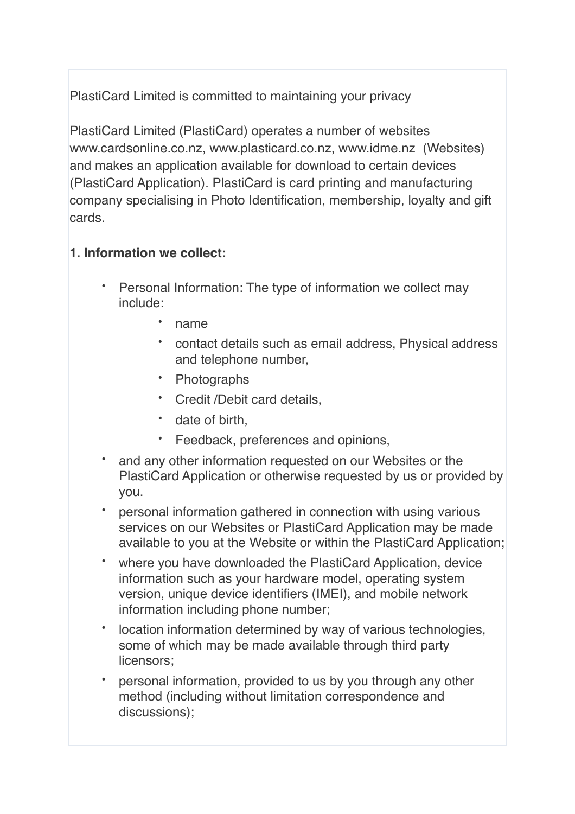PlastiCard Limited is committed to maintaining your privacy

PlastiCard Limited (PlastiCard) operates a number of websites www.cardsonline.co.nz, www.plasticard.co.nz, www.idme.nz (Websites) and makes an application available for download to certain devices (PlastiCard Application). PlastiCard is card printing and manufacturing company specialising in Photo Identification, membership, loyalty and gift cards.

# **1. Information we collect:**

- Personal Information: The type of information we collect may include:
	- name
	- contact details such as email address, Physical address and telephone number,
	- Photographs
	- Credit /Debit card details,
	- date of birth,
	- Feedback, preferences and opinions,
- and any other information requested on our Websites or the PlastiCard Application or otherwise requested by us or provided by you.
- personal information gathered in connection with using various services on our Websites or PlastiCard Application may be made available to you at the Website or within the PlastiCard Application;
- where you have downloaded the PlastiCard Application, device information such as your hardware model, operating system version, unique device identifiers (IMEI), and mobile network information including phone number;
- location information determined by way of various technologies, some of which may be made available through third party licensors;
- personal information, provided to us by you through any other method (including without limitation correspondence and discussions);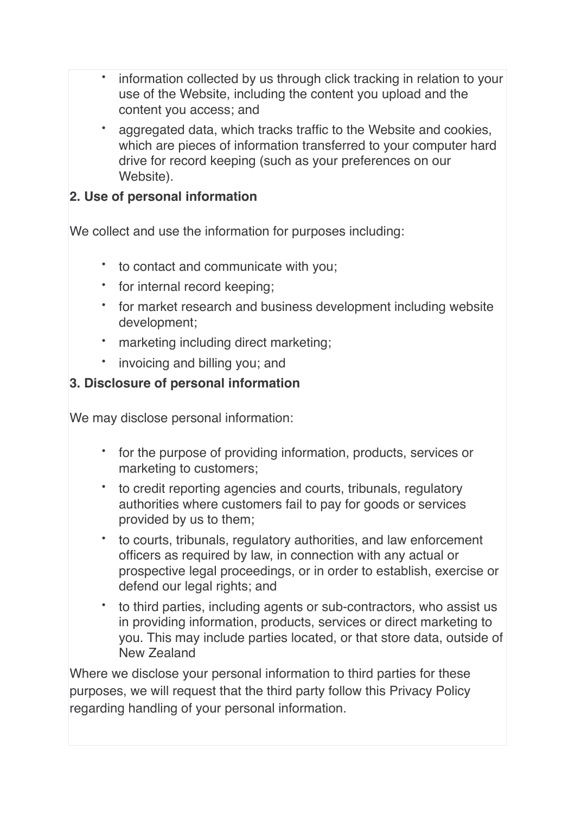- information collected by us through click tracking in relation to your use of the Website, including the content you upload and the content you access; and
- aggregated data, which tracks traffic to the Website and cookies, which are pieces of information transferred to your computer hard drive for record keeping (such as your preferences on our Website).

#### **2. Use of personal information**

We collect and use the information for purposes including:

- to contact and communicate with you;
- for internal record keeping;
- for market research and business development including website development;
- marketing including direct marketing;
- invoicing and billing you; and

#### **3. Disclosure of personal information**

We may disclose personal information:

- for the purpose of providing information, products, services or marketing to customers;
- to credit reporting agencies and courts, tribunals, regulatory authorities where customers fail to pay for goods or services provided by us to them;
- to courts, tribunals, regulatory authorities, and law enforcement officers as required by law, in connection with any actual or prospective legal proceedings, or in order to establish, exercise or defend our legal rights; and
- to third parties, including agents or sub-contractors, who assist us in providing information, products, services or direct marketing to you. This may include parties located, or that store data, outside of New Zealand

Where we disclose your personal information to third parties for these purposes, we will request that the third party follow this Privacy Policy regarding handling of your personal information.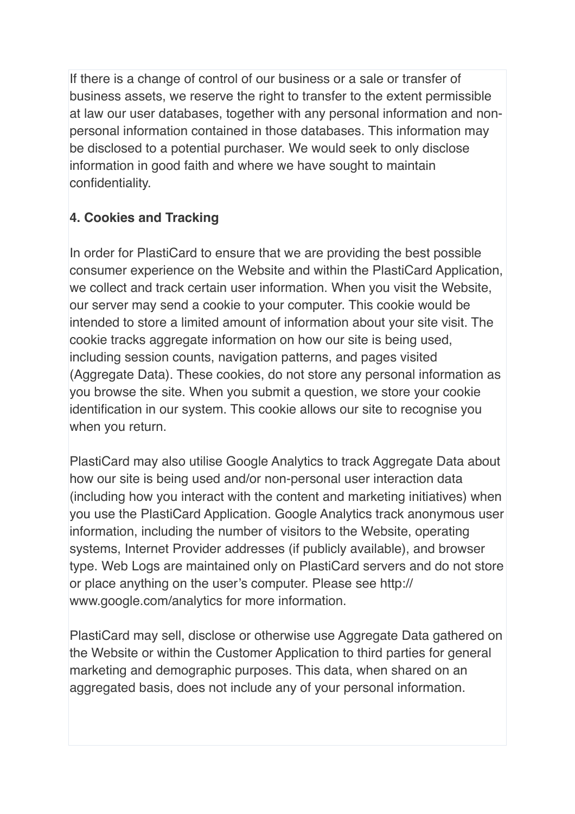If there is a change of control of our business or a sale or transfer of business assets, we reserve the right to transfer to the extent permissible at law our user databases, together with any personal information and nonpersonal information contained in those databases. This information may be disclosed to a potential purchaser. We would seek to only disclose information in good faith and where we have sought to maintain confidentiality.

# **4. Cookies and Tracking**

In order for PlastiCard to ensure that we are providing the best possible consumer experience on the Website and within the PlastiCard Application, we collect and track certain user information. When you visit the Website, our server may send a cookie to your computer. This cookie would be intended to store a limited amount of information about your site visit. The cookie tracks aggregate information on how our site is being used, including session counts, navigation patterns, and pages visited (Aggregate Data). These cookies, do not store any personal information as you browse the site. When you submit a question, we store your cookie identification in our system. This cookie allows our site to recognise you when you return.

PlastiCard may also utilise Google Analytics to track Aggregate Data about how our site is being used and/or non-personal user interaction data (including how you interact with the content and marketing initiatives) when you use the PlastiCard Application. Google Analytics track anonymous user information, including the number of visitors to the Website, operating systems, Internet Provider addresses (if publicly available), and browser type. Web Logs are maintained only on PlastiCard servers and do not store or place anything on the user's computer. Please see http:// www.google.com/analytics for more information.

PlastiCard may sell, disclose or otherwise use Aggregate Data gathered on the Website or within the Customer Application to third parties for general marketing and demographic purposes. This data, when shared on an aggregated basis, does not include any of your personal information.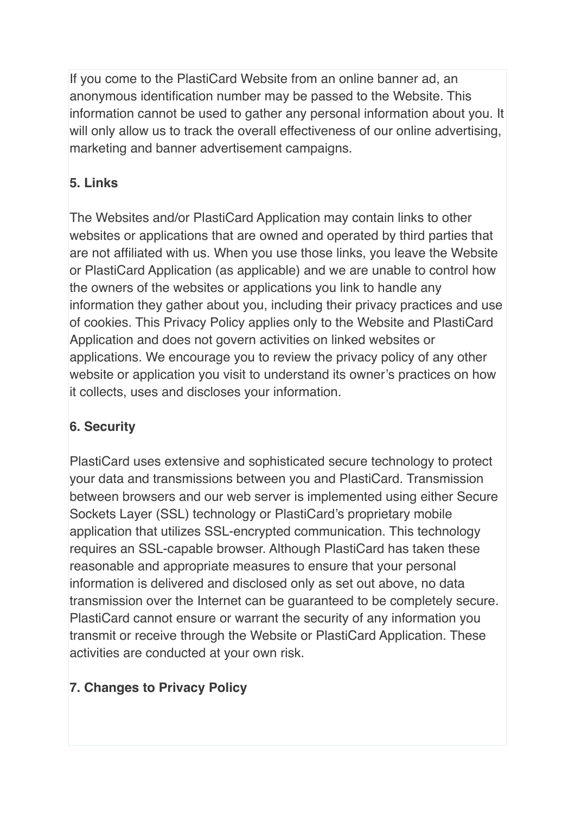If you come to the PlastiCard Website from an online banner ad, an anonymous identification number may be passed to the Website. This information cannot be used to gather any personal information about you. It will only allow us to track the overall effectiveness of our online advertising, marketing and banner advertisement campaigns.

# **5. Links**

The Websites and/or PlastiCard Application may contain links to other websites or applications that are owned and operated by third parties that are not affiliated with us. When you use those links, you leave the Website or PlastiCard Application (as applicable) and we are unable to control how the owners of the websites or applications you link to handle any information they gather about you, including their privacy practices and use of cookies. This Privacy Policy applies only to the Website and PlastiCard Application and does not govern activities on linked websites or applications. We encourage you to review the privacy policy of any other website or application you visit to understand its owner's practices on how it collects, uses and discloses your information.

# **6. Security**

PlastiCard uses extensive and sophisticated secure technology to protect your data and transmissions between you and PlastiCard. Transmission between browsers and our web server is implemented using either Secure Sockets Layer (SSL) technology or PlastiCard's proprietary mobile application that utilizes SSL-encrypted communication. This technology requires an SSL-capable browser. Although PlastiCard has taken these reasonable and appropriate measures to ensure that your personal information is delivered and disclosed only as set out above, no data transmission over the Internet can be guaranteed to be completely secure. PlastiCard cannot ensure or warrant the security of any information you transmit or receive through the Website or PlastiCard Application. These activities are conducted at your own risk.

# **7. Changes to Privacy Policy**